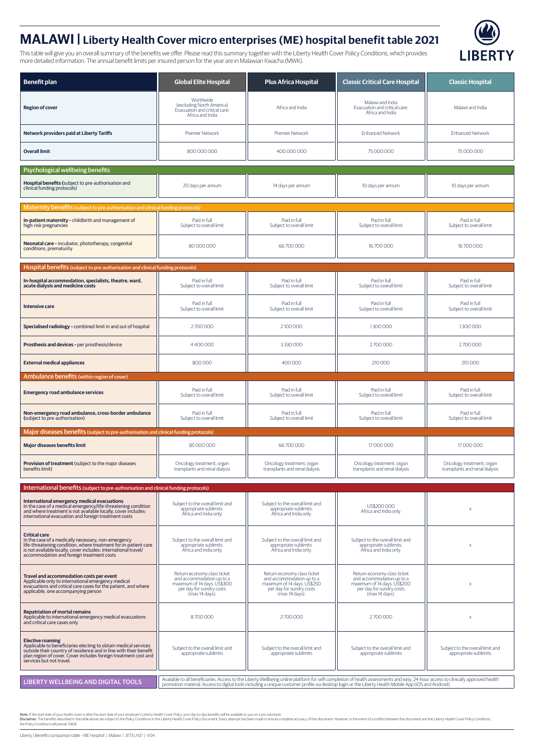Liberty | Benefits comparison table – ME Hospital | Malawi | 3173 LH21 | V04

## **MALAWI | Liberty Health Cover micro enterprises (ME) hospital benefit table 2021**

This table will give you an overall summary of the benefits we offer. Please read this summary together with the Liberty Health Cover Policy Conditions, which provides more detailed information. The annual benefit limits per insured person for the year are in Malawian Kwacha (MWK).



| <b>Benefit plan</b>                                                                                                                                                                                                                                            | <b>Global Elite Hospital</b>                                                                | <b>Plus Africa Hospital</b>                                                          | <b>Classic Critical Care Hospital</b>                                                | <b>Classic Hospital</b>                                     |  |  |
|----------------------------------------------------------------------------------------------------------------------------------------------------------------------------------------------------------------------------------------------------------------|---------------------------------------------------------------------------------------------|--------------------------------------------------------------------------------------|--------------------------------------------------------------------------------------|-------------------------------------------------------------|--|--|
| <b>Region of cover</b>                                                                                                                                                                                                                                         | Worldwide<br>(excluding North America)<br>Evacuation and critical care:<br>Africa and India | Africa and India                                                                     | Malawi and India<br>Evacuation and critical care:<br>Africa and India                | Malawi and India                                            |  |  |
| <b>Network providers paid at Liberty Tariffs</b>                                                                                                                                                                                                               | Premier Network                                                                             | Premier Network                                                                      | <b>Enhanced Network</b>                                                              | <b>Enhanced Network</b>                                     |  |  |
| <b>Overall limit</b>                                                                                                                                                                                                                                           | 800 000 000                                                                                 | 400 000 000                                                                          | 75 000 000                                                                           | 75 000 000                                                  |  |  |
| Psychological wellbeing benefits                                                                                                                                                                                                                               |                                                                                             |                                                                                      |                                                                                      |                                                             |  |  |
| Hospital benefits (subject to pre-authorisation and<br>clinical funding protocols)                                                                                                                                                                             | 20 days per annum                                                                           | 14 days per annum                                                                    | 10 days per annum                                                                    | 10 days per annum                                           |  |  |
| Maternity benefits (subject to pre-authorisation and clinical funding protocols)                                                                                                                                                                               |                                                                                             |                                                                                      |                                                                                      |                                                             |  |  |
| In-patient maternity - childbirth and management of<br>high-risk pregnancies                                                                                                                                                                                   | Paid in full<br>Subject to overall limit                                                    | Paid in full<br>Subject to overall limit                                             | Paid in full<br>Subject to overall limit                                             | Paid in full<br>Subject to overall limit                    |  |  |
| Neonatal care - incubator, phototherapy, congenital<br>conditions, prematurity                                                                                                                                                                                 | 80 000 000                                                                                  | 66700000                                                                             | 16700000                                                                             | 16700000                                                    |  |  |
| Hospital benefits (subject to pre-authorisation and clinical funding protocols)                                                                                                                                                                                |                                                                                             |                                                                                      |                                                                                      |                                                             |  |  |
| In-hospital accommodation, specialists, theatre, ward,<br>acute dialysis and medicine costs                                                                                                                                                                    | Paid in full<br>Subject to overall limit                                                    | Paid in full<br>Subject to overall limit                                             | Paid in full<br>Subject to overall limit                                             | Paid in full<br>Subject to overall limit                    |  |  |
| Intensive care                                                                                                                                                                                                                                                 | Paid in full<br>Subject to overall limit                                                    | Paid in full<br>Subject to overall limit                                             | Paid in full<br>Subject to overall limit                                             | Paid in full<br>Subject to overall limit                    |  |  |
| Specialised radiology - combined limit in and out of hospital                                                                                                                                                                                                  | 2700000                                                                                     | 2100000                                                                              | 1300000                                                                              | 1300000                                                     |  |  |
| Prosthesis and devices - per prosthesis/device                                                                                                                                                                                                                 | 4400000                                                                                     | 3330000                                                                              | 2700000                                                                              | 2700000                                                     |  |  |
| <b>External medical appliances</b>                                                                                                                                                                                                                             | 800000                                                                                      | 400000                                                                               | 210 000                                                                              | 210 000                                                     |  |  |
| Ambulance benefits (within region of cover)                                                                                                                                                                                                                    |                                                                                             |                                                                                      |                                                                                      |                                                             |  |  |
| <b>Emergency road ambulance services</b>                                                                                                                                                                                                                       | Paid in full<br>Subject to overall limit                                                    | Paid in full<br>Subject to overall limit                                             | Paid in full<br>Subject to overall limit                                             | Paid in full<br>Subject to overall limit                    |  |  |
| Non-emergency road ambulance, cross-border ambulance<br>(subject to pre-authorisation)                                                                                                                                                                         | Paid in full<br>Subject to overall limit                                                    | Paid in full<br>Subject to overall limit                                             | Paid in full<br>Subject to overall limit                                             | Paid in full<br>Subject to overall limit                    |  |  |
| Major diseases benefits (subject to pre-authorisation and clinical funding protocols)                                                                                                                                                                          |                                                                                             |                                                                                      |                                                                                      |                                                             |  |  |
| <b>Major diseases benefits limit</b>                                                                                                                                                                                                                           | 85 000 000                                                                                  | 66700000                                                                             | 17000000                                                                             | 17000000                                                    |  |  |
| Provision of treatment (subject to the major diseases<br>benefits limit)                                                                                                                                                                                       | Oncology treatment, organ<br>transplants and renal dialysis                                 | Oncology treatment, organ<br>transplants and renal dialysis                          | Oncology treatment, organ<br>transplants and renal dialysis                          | Oncology treatment, organ<br>transplants and renal dialysis |  |  |
| International benefits (subject to pre-authorisation and clinical funding protocols)                                                                                                                                                                           |                                                                                             |                                                                                      |                                                                                      |                                                             |  |  |
| International emergency medical evacuations<br>In the case of a medical emergency/life-threatening condition<br>and where treatment is not available locally, cover includes:<br>international evacuation and foreign treatment costs                          | Subject to the overall limit and<br>appropriate sublimits.<br>Africa and India only.        | Subject to the overall limit and<br>appropriate sublimits.<br>Africa and India only. | US\$200000<br>Africa and India only.                                                 | X                                                           |  |  |
| <b>Critical care</b><br>In the case of a medically necessary, non-emergency<br>life-threatening condition, where treatment for in-patient care<br>is not available locally, cover includes: international travel/<br>accommodation and foreign treatment costs | Subject to the overall limit and<br>appropriate sublimits.<br>Africa and India only.        | Subject to the overall limit and<br>appropriate sublimits.<br>Africa and India only. | Subject to the overall limit and<br>appropriate sublimits.<br>Africa and India only. | $\mathsf{X}$                                                |  |  |
|                                                                                                                                                                                                                                                                |                                                                                             |                                                                                      |                                                                                      |                                                             |  |  |

LIBERTY WELLBEING AND DIGITAL TOOLS Available to all beneficiaries. Access to the Liberty Wellbeing online platform for self-completion of health assessments and easy, 24-hour access to clinically approved health<br>
Top of t promotion material. Access to digital tools including a unique customer profile via desktop login or the Liberty Health Mobile App (iOS and Android).

Disclaimer: The benefits described in the table above are subject to the Policy Conditions in the Liberty Health Cover Policy Document. Every attempt has been made to ensure complete accuracy of this document. However, in the Policy Conditions will prevail. E&OE

| Travel and accommodation costs per event<br>Applicable only to international emergency medical<br>evacuations and critical care cases for the patient, and where<br>applicable, one accompanying person                                                        | Return economy class ticket<br>and accommodation up to a<br>maximum of 14 days. US\$300<br>per day for sundry costs<br>$(max 14 days)$ . | Return economy class ticket<br>and accommodation up to a<br>maximum of 14 days. US\$250<br>per day for sundry costs<br>(max 14 days). | Return economy class ticket<br>and accommodation up to a<br>maximum of 14 days. US\$200<br>per day for sundry costs<br>(max 14 days). |                                                           |
|----------------------------------------------------------------------------------------------------------------------------------------------------------------------------------------------------------------------------------------------------------------|------------------------------------------------------------------------------------------------------------------------------------------|---------------------------------------------------------------------------------------------------------------------------------------|---------------------------------------------------------------------------------------------------------------------------------------|-----------------------------------------------------------|
| <b>Repatriation of mortal remains</b><br>Applicable to international emergency medical evacuations<br>and critical care cases only                                                                                                                             | 8700000                                                                                                                                  | 2700000                                                                                                                               | 2700000                                                                                                                               |                                                           |
| <b>Elective roaming</b><br>Applicable to beneficiaries electing to obtain medical services<br>outside their country of residence and in line with their benefit<br>plan region of cover. Cover includes foreign treatment cost and<br>services but not travel. | Subject to the overall limit and<br>appropriate sublimits                                                                                | Subject to the overall limit and<br>appropriate sublimits                                                                             | Subject to the overall limit and<br>appropriate sublimits                                                                             | Subject to the overall limit and<br>appropriate sublimits |

Note: If the start date of your health cover is after the start date of your employer's Liberty Health Cover Policy, your day-to-day benefits will be available to you on a pro-rata basis.